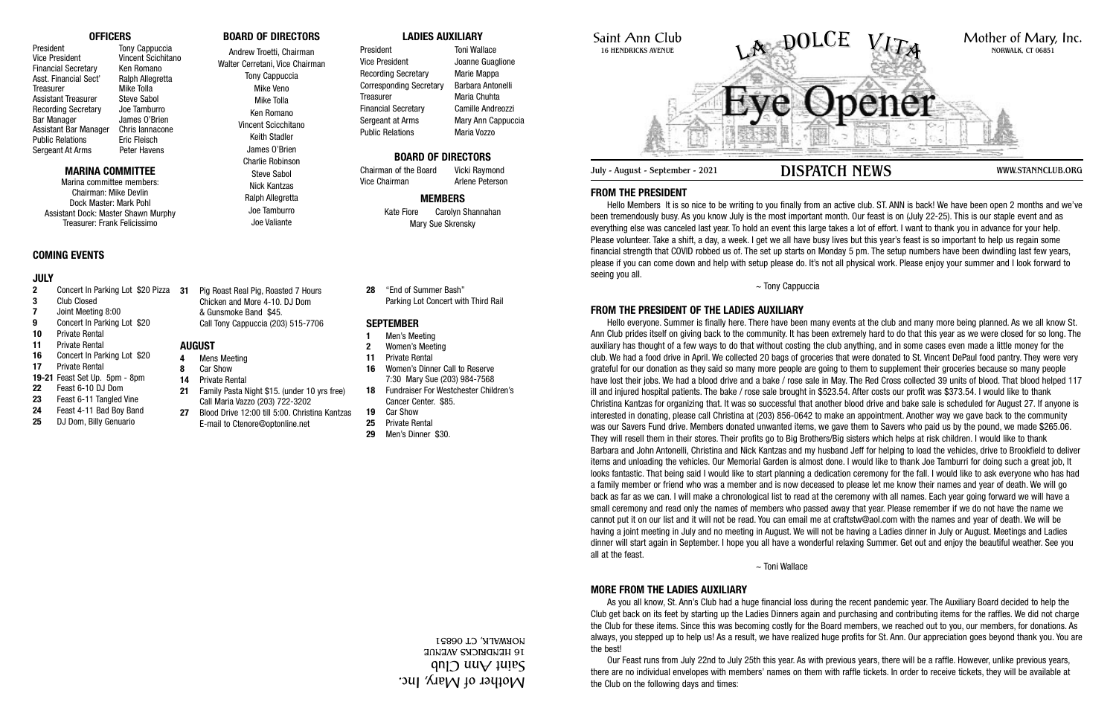Saint Ann Club 16 HENDRICKS AVENUE

July - August - September - 2021 **DISPATCH NEWS** WWW.STANNCLUB.ORG

## **FROM THE PRESIDENT**

Hello Members It is so nice to be writing to you finally from an active club. ST. ANN is back! We have been open 2 months and we've been tremendously busy. As you know July is the most important month. Our feast is on (July 22-25). This is our staple event and as everything else was canceled last year. To hold an event this large takes a lot of effort. I want to thank you in advance for your help. Please volunteer. Take a shift, a day, a week. I get we all have busy lives but this year's feast is so important to help us regain some financial strength that COVID robbed us of. The set up starts on Monday 5 pm. The setup numbers have been dwindling last few years, please if you can come down and help with setup please do. It's not all physical work. Please enjoy your summer and I look forward to seeing you all.

~ Tony Cappuccia

## **FROM THE PRESIDENT OF THE LADIES AUXILIARY**

Hello everyone. Summer is finally here. There have been many events at the club and many more being planned. As we all know St. Ann Club prides itself on giving back to the community. It has been extremely hard to do that this year as we were closed for so long. The auxiliary has thought of a few ways to do that without costing the club anything, and in some cases even made a little money for the club. We had a food drive in April. We collected 20 bags of groceries that were donated to St. Vincent DePaul food pantry. They were very grateful for our donation as they said so many more people are going to them to supplement their groceries because so many people have lost their jobs. We had a blood drive and a bake / rose sale in May. The Red Cross collected 39 units of blood. That blood helped 117 ill and injured hospital patients. The bake / rose sale brought in \$523.54. After costs our profit was \$373.54. I would like to thank Christina Kantzas for organizing that. It was so successful that another blood drive and bake sale is scheduled for August 27. If anyone is interested in donating, please call Christina at (203) 856-0642 to make an appointment. Another way we gave back to the community was our Savers Fund drive. Members donated unwanted items, we gave them to Savers who paid us by the pound, we made \$265.06. They will resell them in their stores. Their profits go to Big Brothers/Big sisters which helps at risk children. I would like to thank Barbara and John Antonelli, Christina and Nick Kantzas and my husband Jeff for helping to load the vehicles, drive to Brookfield to deliver items and unloading the vehicles. Our Memorial Garden is almost done. I would like to thank Joe Tamburri for doing such a great job, It looks fantastic. That being said I would like to start planning a dedication ceremony for the fall. I would like to ask everyone who has had a family member or friend who was a member and is now deceased to please let me know their names and year of death. We will go back as far as we can. I will make a chronological list to read at the ceremony with all names. Each year going forward we will have a small ceremony and read only the names of members who passed away that year. Please remember if we do not have the name we cannot put it on our list and it will not be read. You can email me at craftstw@aol.com with the names and year of death. We will be having a joint meeting in July and no meeting in August. We will not be having a Ladies dinner in July or August. Meetings and Ladies dinner will start again in September. I hope you all have a wonderful relaxing Summer. Get out and enjoy the beautiful weather. See you all at the feast.

President Toni Wallace Vice President Joanne Guaglione Recording Secretary Marie Mappa Corresponding Secretary Barbara Antonelli Treasurer Maria Chuhta Financial Secretary Camille Andreozzi Sergeant at Arms Mary Ann Cappuccia Public Relations Maria Vozzo

Chairman of the Board Vicki Raymond Vice Chairman **Arlene Peterson** 

- **2** Concert In Parking Lot \$20 Pizza **31**
- **3** Club Closed
- **7** Joint Meeting 8:00
- **9** Concert In Parking Lot \$20 **10** Private Rental
- **11** Private Rental
- **16** Concert In Parking Lot \$20
- **17** Private Rental
- **19-21** Feast Set Up. 5pm 8pm
- **22** Feast 6-10 DJ Dom
- **23** Feast 6-11 Tangled Vine
- **24** Feast 4-11 Bad Boy Band
- **25** DJ Dom, Billy Genuario



~ Toni Wallace

# **MORE FROM THE LADIES AUXILIARY**

As you all know, St. Ann's Club had a huge financial loss during the recent pandemic year. The Auxiliary Board decided to help the Club get back on its feet by starting up the Ladies Dinners again and purchasing and contributing items for the raffles. We did not charge the Club for these items. Since this was becoming costly for the Board members, we reached out to you, our members, for donations. As always, you stepped up to help us! As a result, we have realized huge profits for St. Ann. Our appreciation goes beyond thank you. You are the best!

Our Feast runs from July 22nd to July 25th this year. As with previous years, there will be a raffle. However, unlike previous years, there are no individual envelopes with members' names on them with raffle tickets. In order to receive tickets, they will be available at the Club on the following days and times:

### **OFFICERS**

President Tony Cappuccia Vice President Vincent Scichitano Financial Secretary<br>
Asst. Financial Sect' Ralph Allegretta Asst. Financial Sect' Treasurer Mike Tolla Assistant Treasurer Steve Sabol Recording Secretary Joe Tamburro Bar Manager James O'Brien Assistant Bar Manager Chris Iannacone Public Relations<br>
Sergeant At Arms
Bergeant At Arms
Eric Flavens Sergeant At Arms

## **MARINA COMMITTEE**

Marina committee members: Chairman: Mike Devlin Dock Master: Mark Pohl Assistant Dock: Master Shawn Murphy Treasurer: Frank Felicissimo

# **BOARD OF DIRECTORS**

Andrew Troetti, Chairman Walter Cerretani, Vice Chairman Tony Cappuccia Mike Veno Mike Tolla Ken Romano Vincent Scicchitano Keith Stadler James O'Brien Charlie Robinson Steve Sabol

Nick Kantzas

**LADIES AUXILIARY**

# **BOARD OF DIRECTORS**

## **MEMBERS**

Kate Fiore Carolyn Shannahan Mary Sue Skrensky

- Ralph Allegretta Joe Tamburro Joe Valiante
- **31** Pig Roast Real Pig, Roasted 7 Hours Chicken and More 4-10. DJ Dom & Gunsmoke Band \$45. Call Tony Cappuccia (203) 515-7706

### **COMING EVENTS**

### **JULY**

### **AUGUST**

- **4** Mens Meeting
- **8** Car Show
- **14** Private Rental
- **21** Family Pasta Night \$15. (under 10 yrs free) Call Maria Vazzo (203) 722-3202
- **27** Blood Drive 12:00 till 5:00. Christina Kantzas E-mail to Ctenore@optonline.net

**28** "End of Summer Bash" Parking Lot Concert with Third Rail

### **SEPTEMBER**

- **1** Men's Meeting
- **2** Women's Meeting
- **11** Private Rental
- **16** Women's Dinner Call to Reserve 7:30 Mary Sue (203) 984-7568
- **18** Fundraiser For Westchester Children's Cancer Center. \$85.
- **19** Car Show
- **25** Private Rental
- **29** Men's Dinner \$30.

Mother of Mary, Inc. ann ann an 16 HENDRICKS AVENUE NORWALK, CT 06851